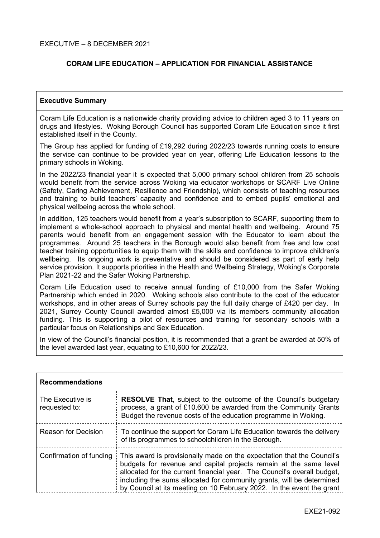# **CORAM LIFE EDUCATION – APPLICATION FOR FINANCIAL ASSISTANCE**

#### **Executive Summary**

Coram Life Education is a nationwide charity providing advice to children aged 3 to 11 years on drugs and lifestyles. Woking Borough Council has supported Coram Life Education since it first established itself in the County.

The Group has applied for funding of £19,292 during 2022/23 towards running costs to ensure the service can continue to be provided year on year, offering Life Education lessons to the primary schools in Woking.

In the 2022/23 financial year it is expected that 5,000 primary school children from 25 schools would benefit from the service across Woking via educator workshops or SCARF Live Online (Safety, Caring Achievement, Resilience and Friendship), which consists of teaching resources and training to build teachers' capacity and confidence and to embed pupils' emotional and physical wellbeing across the whole school.

In addition, 125 teachers would benefit from a year's subscription to SCARF, supporting them to implement a whole-school approach to physical and mental health and wellbeing. Around 75 parents would benefit from an engagement session with the Educator to learn about the programmes. Around 25 teachers in the Borough would also benefit from free and low cost teacher training opportunities to equip them with the skills and confidence to improve children's wellbeing. Its ongoing work is preventative and should be considered as part of early help service provision. It supports priorities in the Health and Wellbeing Strategy, Woking's Corporate Plan 2021-22 and the Safer Woking Partnership.

Coram Life Education used to receive annual funding of £10,000 from the Safer Woking Partnership which ended in 2020. Woking schools also contribute to the cost of the educator workshops, and in other areas of Surrey schools pay the full daily charge of £420 per day. In 2021, Surrey County Council awarded almost £5,000 via its members community allocation funding. This is supporting a pilot of resources and training for secondary schools with a particular focus on Relationships and Sex Education.

In view of the Council's financial position, it is recommended that a grant be awarded at 50% of the level awarded last year, equating to £10,600 for 2022/23.

| <b>Recommendations</b>            |                                                                                                                                                                                                                                                                                                                                                                          |  |  |  |
|-----------------------------------|--------------------------------------------------------------------------------------------------------------------------------------------------------------------------------------------------------------------------------------------------------------------------------------------------------------------------------------------------------------------------|--|--|--|
| The Executive is<br>requested to: | <b>RESOLVE That, subject to the outcome of the Council's budgetary</b><br>process, a grant of £10,600 be awarded from the Community Grants<br>Budget the revenue costs of the education programme in Woking.                                                                                                                                                             |  |  |  |
| Reason for Decision               | To continue the support for Coram Life Education towards the delivery<br>of its programmes to schoolchildren in the Borough.                                                                                                                                                                                                                                             |  |  |  |
| Confirmation of funding           | This award is provisionally made on the expectation that the Council's<br>budgets for revenue and capital projects remain at the same level<br>allocated for the current financial year. The Council's overall budget,<br>including the sums allocated for community grants, will be determined<br>by Council at its meeting on 10 February 2022. In the event the grant |  |  |  |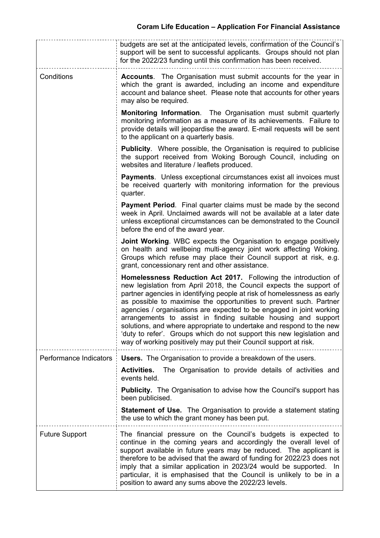|                        | budgets are set at the anticipated levels, confirmation of the Council's<br>support will be sent to successful applicants. Groups should not plan<br>for the 2022/23 funding until this confirmation has been received.                                                                                                                                                                                                                                                                                                                                                                                                                               |  |  |
|------------------------|-------------------------------------------------------------------------------------------------------------------------------------------------------------------------------------------------------------------------------------------------------------------------------------------------------------------------------------------------------------------------------------------------------------------------------------------------------------------------------------------------------------------------------------------------------------------------------------------------------------------------------------------------------|--|--|
| Conditions             | <b>Accounts.</b> The Organisation must submit accounts for the year in<br>which the grant is awarded, including an income and expenditure<br>account and balance sheet. Please note that accounts for other years<br>may also be required.                                                                                                                                                                                                                                                                                                                                                                                                            |  |  |
|                        | <b>Monitoring Information.</b> The Organisation must submit quarterly<br>monitoring information as a measure of its achievements. Failure to<br>provide details will jeopardise the award. E-mail requests will be sent<br>to the applicant on a quarterly basis.                                                                                                                                                                                                                                                                                                                                                                                     |  |  |
|                        | <b>Publicity.</b> Where possible, the Organisation is required to publicise<br>the support received from Woking Borough Council, including on<br>websites and literature / leaflets produced.                                                                                                                                                                                                                                                                                                                                                                                                                                                         |  |  |
|                        | <b>Payments.</b> Unless exceptional circumstances exist all invoices must<br>be received quarterly with monitoring information for the previous<br>quarter.                                                                                                                                                                                                                                                                                                                                                                                                                                                                                           |  |  |
|                        | <b>Payment Period.</b> Final quarter claims must be made by the second<br>week in April. Unclaimed awards will not be available at a later date<br>unless exceptional circumstances can be demonstrated to the Council<br>before the end of the award year.                                                                                                                                                                                                                                                                                                                                                                                           |  |  |
|                        | <b>Joint Working.</b> WBC expects the Organisation to engage positively<br>on health and wellbeing multi-agency joint work affecting Woking.<br>Groups which refuse may place their Council support at risk, e.g.<br>grant, concessionary rent and other assistance.                                                                                                                                                                                                                                                                                                                                                                                  |  |  |
|                        | Homelessness Reduction Act 2017. Following the introduction of<br>new legislation from April 2018, the Council expects the support of<br>partner agencies in identifying people at risk of homelessness as early<br>as possible to maximise the opportunities to prevent such. Partner<br>agencies / organisations are expected to be engaged in joint working<br>arrangements to assist in finding suitable housing and support<br>solutions, and where appropriate to undertake and respond to the new<br>'duty to refer'. Groups which do not support this new legislation and<br>way of working positively may put their Council support at risk. |  |  |
| Performance Indicators | <b>Users.</b> The Organisation to provide a breakdown of the users.                                                                                                                                                                                                                                                                                                                                                                                                                                                                                                                                                                                   |  |  |
|                        | The Organisation to provide details of activities and<br><b>Activities.</b><br>events held.                                                                                                                                                                                                                                                                                                                                                                                                                                                                                                                                                           |  |  |
|                        | <b>Publicity.</b> The Organisation to advise how the Council's support has<br>been publicised.                                                                                                                                                                                                                                                                                                                                                                                                                                                                                                                                                        |  |  |
|                        | <b>Statement of Use.</b> The Organisation to provide a statement stating<br>the use to which the grant money has been put.                                                                                                                                                                                                                                                                                                                                                                                                                                                                                                                            |  |  |
| <b>Future Support</b>  | The financial pressure on the Council's budgets is expected to<br>continue in the coming years and accordingly the overall level of<br>support available in future years may be reduced. The applicant is<br>therefore to be advised that the award of funding for 2022/23 does not<br>imply that a similar application in 2023/24 would be supported. In<br>particular, it is emphasised that the Council is unlikely to be in a<br>position to award any sums above the 2022/23 levels.                                                                                                                                                             |  |  |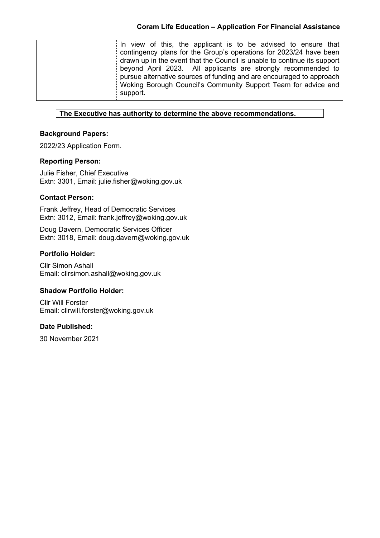| In view of this, the applicant is to be advised to ensure that           |
|--------------------------------------------------------------------------|
| contingency plans for the Group's operations for 2023/24 have been       |
| drawn up in the event that the Council is unable to continue its support |
| beyond April 2023. All applicants are strongly recommended to            |
| pursue alternative sources of funding and are encouraged to approach     |
| Woking Borough Council's Community Support Team for advice and           |
| support.                                                                 |
|                                                                          |

## **The Executive has authority to determine the above recommendations.**

## **Background Papers:**

2022/23 Application Form.

### **Reporting Person:**

Julie Fisher, Chief Executive Extn: 3301, Email: julie.fisher@woking.gov.uk

# **Contact Person:**

Frank Jeffrey, Head of Democratic Services Extn: 3012, Email: frank.jeffrey@woking.gov.uk

Doug Davern, Democratic Services Officer Extn: 3018, Email: doug.davern@woking.gov.uk

# **Portfolio Holder:**

Cllr Simon Ashall Email: cllrsimon.ashall@woking.gov.uk

### **Shadow Portfolio Holder:**

Cllr Will Forster Email: cllrwill.forster@woking.gov.uk

### **Date Published:**

30 November 2021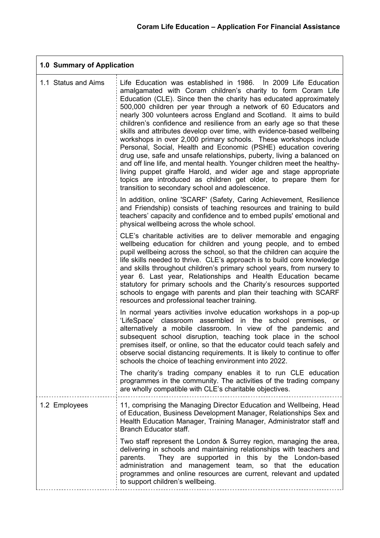$\overline{\phantom{0}}$ 

| 1.0 Summary of Application |                                                                                                                                                                                                                                                                                                                                                                                                                                                                                                                                                                                                                                                                                                                                                                                                                                                                                                                                                                                           |  |  |  |
|----------------------------|-------------------------------------------------------------------------------------------------------------------------------------------------------------------------------------------------------------------------------------------------------------------------------------------------------------------------------------------------------------------------------------------------------------------------------------------------------------------------------------------------------------------------------------------------------------------------------------------------------------------------------------------------------------------------------------------------------------------------------------------------------------------------------------------------------------------------------------------------------------------------------------------------------------------------------------------------------------------------------------------|--|--|--|
| 1.1 Status and Aims        | Life Education was established in 1986. In 2009 Life Education<br>amalgamated with Coram children's charity to form Coram Life<br>Education (CLE). Since then the charity has educated approximately<br>500,000 children per year through a network of 60 Educators and<br>nearly 300 volunteers across England and Scotland. It aims to build<br>children's confidence and resilience from an early age so that these<br>skills and attributes develop over time, with evidence-based wellbeing<br>workshops in over 2,000 primary schools. These workshops include<br>Personal, Social, Health and Economic (PSHE) education covering<br>drug use, safe and unsafe relationships, puberty, living a balanced on<br>and off line life, and mental health. Younger children meet the healthy-<br>living puppet giraffe Harold, and wider age and stage appropriate<br>topics are introduced as children get older, to prepare them for<br>transition to secondary school and adolescence. |  |  |  |
|                            | In addition, online 'SCARF' (Safety, Caring Achievement, Resilience<br>and Friendship) consists of teaching resources and training to build<br>teachers' capacity and confidence and to embed pupils' emotional and<br>physical wellbeing across the whole school.                                                                                                                                                                                                                                                                                                                                                                                                                                                                                                                                                                                                                                                                                                                        |  |  |  |
|                            | CLE's charitable activities are to deliver memorable and engaging<br>wellbeing education for children and young people, and to embed<br>pupil wellbeing across the school, so that the children can acquire the<br>life skills needed to thrive. CLE's approach is to build core knowledge<br>and skills throughout children's primary school years, from nursery to<br>year 6. Last year, Relationships and Health Education became<br>statutory for primary schools and the Charity's resources supported<br>schools to engage with parents and plan their teaching with SCARF<br>resources and professional teacher training.                                                                                                                                                                                                                                                                                                                                                          |  |  |  |
|                            | In normal years activities involve education workshops in a pop-up<br>'LifeSpace' classroom assembled in the school premises, or<br>alternatively a mobile classroom. In view of the pandemic and<br>subsequent school disruption, teaching took place in the school<br>premises itself, or online, so that the educator could teach safely and<br>observe social distancing requirements. It is likely to continue to offer<br>schools the choice of teaching environment into 2022.                                                                                                                                                                                                                                                                                                                                                                                                                                                                                                     |  |  |  |
|                            | The charity's trading company enables it to run CLE education<br>programmes in the community. The activities of the trading company<br>are wholly compatible with CLE's charitable objectives.                                                                                                                                                                                                                                                                                                                                                                                                                                                                                                                                                                                                                                                                                                                                                                                            |  |  |  |
| 1.2 Employees              | 11, comprising the Managing Director Education and Wellbeing, Head<br>of Education, Business Development Manager, Relationships Sex and<br>Health Education Manager, Training Manager, Administrator staff and<br>Branch Educator staff.<br>Two staff represent the London & Surrey region, managing the area,                                                                                                                                                                                                                                                                                                                                                                                                                                                                                                                                                                                                                                                                            |  |  |  |
|                            | delivering in schools and maintaining relationships with teachers and<br>They are supported in this by the London-based<br>parents.<br>administration and management team, so that the education<br>programmes and online resources are current, relevant and updated<br>to support children's wellbeing.                                                                                                                                                                                                                                                                                                                                                                                                                                                                                                                                                                                                                                                                                 |  |  |  |

 $\overline{1}$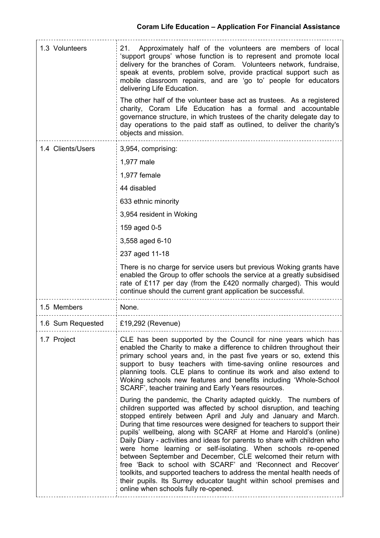| 1.3 Volunteers    | Approximately half of the volunteers are members of local<br>21.<br>'support groups' whose function is to represent and promote local<br>delivery for the branches of Coram. Volunteers network, fundraise,<br>speak at events, problem solve, provide practical support such as<br>mobile classroom repairs, and are 'go to' people for educators<br>delivering Life Education.<br>The other half of the volunteer base act as trustees. As a registered<br>charity, Coram Life Education has a formal and accountable<br>governance structure, in which trustees of the charity delegate day to                                                                                                                                                                                                                               |
|-------------------|---------------------------------------------------------------------------------------------------------------------------------------------------------------------------------------------------------------------------------------------------------------------------------------------------------------------------------------------------------------------------------------------------------------------------------------------------------------------------------------------------------------------------------------------------------------------------------------------------------------------------------------------------------------------------------------------------------------------------------------------------------------------------------------------------------------------------------|
|                   | day operations to the paid staff as outlined, to deliver the charity's<br>objects and mission.                                                                                                                                                                                                                                                                                                                                                                                                                                                                                                                                                                                                                                                                                                                                  |
| 1.4 Clients/Users | 3,954, comprising:                                                                                                                                                                                                                                                                                                                                                                                                                                                                                                                                                                                                                                                                                                                                                                                                              |
|                   | 1,977 male                                                                                                                                                                                                                                                                                                                                                                                                                                                                                                                                                                                                                                                                                                                                                                                                                      |
|                   | 1,977 female                                                                                                                                                                                                                                                                                                                                                                                                                                                                                                                                                                                                                                                                                                                                                                                                                    |
|                   | 44 disabled                                                                                                                                                                                                                                                                                                                                                                                                                                                                                                                                                                                                                                                                                                                                                                                                                     |
|                   | 633 ethnic minority                                                                                                                                                                                                                                                                                                                                                                                                                                                                                                                                                                                                                                                                                                                                                                                                             |
|                   | 3,954 resident in Woking                                                                                                                                                                                                                                                                                                                                                                                                                                                                                                                                                                                                                                                                                                                                                                                                        |
|                   | 159 aged 0-5                                                                                                                                                                                                                                                                                                                                                                                                                                                                                                                                                                                                                                                                                                                                                                                                                    |
|                   | 3,558 aged 6-10                                                                                                                                                                                                                                                                                                                                                                                                                                                                                                                                                                                                                                                                                                                                                                                                                 |
|                   | 237 aged 11-18                                                                                                                                                                                                                                                                                                                                                                                                                                                                                                                                                                                                                                                                                                                                                                                                                  |
|                   | There is no charge for service users but previous Woking grants have<br>enabled the Group to offer schools the service at a greatly subsidised<br>rate of £117 per day (from the £420 normally charged). This would<br>continue should the current grant application be successful.                                                                                                                                                                                                                                                                                                                                                                                                                                                                                                                                             |
| 1.5 Members       | None.                                                                                                                                                                                                                                                                                                                                                                                                                                                                                                                                                                                                                                                                                                                                                                                                                           |
| 1.6 Sum Requested | £19,292 (Revenue)                                                                                                                                                                                                                                                                                                                                                                                                                                                                                                                                                                                                                                                                                                                                                                                                               |
| 1.7 Project       | CLE has been supported by the Council for nine years which has<br>enabled the Charity to make a difference to children throughout their<br>primary school years and, in the past five years or so, extend this<br>support to busy teachers with time-saving online resources and<br>planning tools. CLE plans to continue its work and also extend to<br>Woking schools new features and benefits including 'Whole-School<br>SCARF', teacher training and Early Years resources.                                                                                                                                                                                                                                                                                                                                                |
|                   | During the pandemic, the Charity adapted quickly. The numbers of<br>children supported was affected by school disruption, and teaching<br>stopped entirely between April and July and January and March.<br>During that time resources were designed for teachers to support their<br>pupils' wellbeing, along with SCARF at Home and Harold's (online)<br>Daily Diary - activities and ideas for parents to share with children who<br>were home learning or self-isolating. When schools re-opened<br>between September and December, CLE welcomed their return with<br>free 'Back to school with SCARF' and 'Reconnect and Recover'<br>toolkits, and supported teachers to address the mental health needs of<br>their pupils. Its Surrey educator taught within school premises and<br>online when schools fully re-opened. |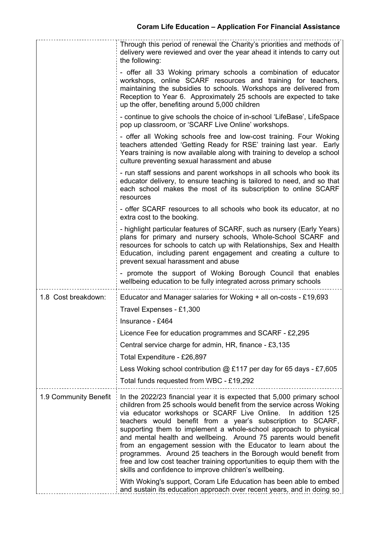|                       | Through this period of renewal the Charity's priorities and methods of                                                                                                                                                                                                                                                                                                                                                                                                                                                                                                                                                                                                                                |
|-----------------------|-------------------------------------------------------------------------------------------------------------------------------------------------------------------------------------------------------------------------------------------------------------------------------------------------------------------------------------------------------------------------------------------------------------------------------------------------------------------------------------------------------------------------------------------------------------------------------------------------------------------------------------------------------------------------------------------------------|
|                       | delivery were reviewed and over the year ahead it intends to carry out<br>the following:                                                                                                                                                                                                                                                                                                                                                                                                                                                                                                                                                                                                              |
|                       | - offer all 33 Woking primary schools a combination of educator<br>workshops, online SCARF resources and training for teachers,<br>maintaining the subsidies to schools. Workshops are delivered from<br>Reception to Year 6. Approximately 25 schools are expected to take<br>up the offer, benefiting around 5,000 children                                                                                                                                                                                                                                                                                                                                                                         |
|                       | - continue to give schools the choice of in-school 'LifeBase', LifeSpace<br>pop up classroom, or 'SCARF Live Online' workshops.                                                                                                                                                                                                                                                                                                                                                                                                                                                                                                                                                                       |
|                       | - offer all Woking schools free and low-cost training. Four Woking<br>teachers attended 'Getting Ready for RSE' training last year. Early<br>Years training is now available along with training to develop a school<br>culture preventing sexual harassment and abuse                                                                                                                                                                                                                                                                                                                                                                                                                                |
|                       | - run staff sessions and parent workshops in all schools who book its<br>educator delivery, to ensure teaching is tailored to need, and so that<br>each school makes the most of its subscription to online SCARF<br>resources                                                                                                                                                                                                                                                                                                                                                                                                                                                                        |
|                       | - offer SCARF resources to all schools who book its educator, at no<br>extra cost to the booking.                                                                                                                                                                                                                                                                                                                                                                                                                                                                                                                                                                                                     |
|                       | - highlight particular features of SCARF, such as nursery (Early Years)<br>plans for primary and nursery schools, Whole-School SCARF and<br>resources for schools to catch up with Relationships, Sex and Health<br>Education, including parent engagement and creating a culture to<br>prevent sexual harassment and abuse                                                                                                                                                                                                                                                                                                                                                                           |
|                       | - promote the support of Woking Borough Council that enables<br>wellbeing education to be fully integrated across primary schools                                                                                                                                                                                                                                                                                                                                                                                                                                                                                                                                                                     |
| 1.8 Cost breakdown:   | Educator and Manager salaries for Woking + all on-costs - £19,693<br>Travel Expenses - £1,300                                                                                                                                                                                                                                                                                                                                                                                                                                                                                                                                                                                                         |
|                       | Insurance - £464                                                                                                                                                                                                                                                                                                                                                                                                                                                                                                                                                                                                                                                                                      |
|                       | Licence Fee for education programmes and SCARF - £2,295                                                                                                                                                                                                                                                                                                                                                                                                                                                                                                                                                                                                                                               |
|                       | Central service charge for admin, HR, finance - £3,135                                                                                                                                                                                                                                                                                                                                                                                                                                                                                                                                                                                                                                                |
|                       | Total Expenditure - £26,897                                                                                                                                                                                                                                                                                                                                                                                                                                                                                                                                                                                                                                                                           |
|                       | Less Woking school contribution @ £117 per day for 65 days - £7,605                                                                                                                                                                                                                                                                                                                                                                                                                                                                                                                                                                                                                                   |
|                       | Total funds requested from WBC - £19,292                                                                                                                                                                                                                                                                                                                                                                                                                                                                                                                                                                                                                                                              |
| 1.9 Community Benefit | In the 2022/23 financial year it is expected that 5,000 primary school<br>children from 25 schools would benefit from the service across Woking<br>via educator workshops or SCARF Live Online.<br>In addition 125<br>teachers would benefit from a year's subscription to SCARF,<br>supporting them to implement a whole-school approach to physical<br>and mental health and wellbeing. Around 75 parents would benefit<br>from an engagement session with the Educator to learn about the<br>programmes. Around 25 teachers in the Borough would benefit from<br>free and low cost teacher training opportunities to equip them with the<br>skills and confidence to improve children's wellbeing. |
|                       | With Woking's support, Coram Life Education has been able to embed<br>and sustain its education approach over recent years, and in doing so                                                                                                                                                                                                                                                                                                                                                                                                                                                                                                                                                           |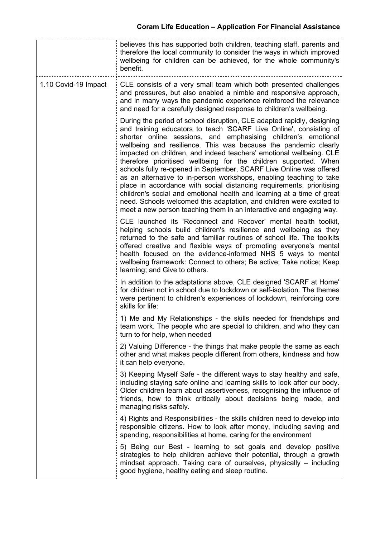|                      | believes this has supported both children, teaching staff, parents and<br>therefore the local community to consider the ways in which improved<br>wellbeing for children can be achieved, for the whole community's<br>benefit.                                                                                                                                                                                                                                                                                                                                                                                                                                                                                                                                                                                                                                             |
|----------------------|-----------------------------------------------------------------------------------------------------------------------------------------------------------------------------------------------------------------------------------------------------------------------------------------------------------------------------------------------------------------------------------------------------------------------------------------------------------------------------------------------------------------------------------------------------------------------------------------------------------------------------------------------------------------------------------------------------------------------------------------------------------------------------------------------------------------------------------------------------------------------------|
| 1.10 Covid-19 Impact | CLE consists of a very small team which both presented challenges<br>and pressures, but also enabled a nimble and responsive approach,<br>and in many ways the pandemic experience reinforced the relevance<br>and need for a carefully designed response to children's wellbeing.                                                                                                                                                                                                                                                                                                                                                                                                                                                                                                                                                                                          |
|                      | During the period of school disruption, CLE adapted rapidly, designing<br>and training educators to teach 'SCARF Live Online', consisting of<br>shorter online sessions, and emphasising children's emotional<br>wellbeing and resilience. This was because the pandemic clearly<br>impacted on children, and indeed teachers' emotional wellbeing. CLE<br>therefore prioritised wellbeing for the children supported. When<br>schools fully re-opened in September, SCARF Live Online was offered<br>as an alternative to in-person workshops, enabling teaching to take<br>place in accordance with social distancing requirements, prioritising<br>children's social and emotional health and learning at a time of great<br>need. Schools welcomed this adaptation, and children were excited to<br>meet a new person teaching them in an interactive and engaging way. |
|                      | CLE launched its 'Reconnect and Recover' mental health toolkit,<br>helping schools build children's resilience and wellbeing as they<br>returned to the safe and familiar routines of school life. The toolkits<br>offered creative and flexible ways of promoting everyone's mental<br>health focused on the evidence-informed NHS 5 ways to mental<br>wellbeing framework: Connect to others; Be active; Take notice; Keep<br>learning; and Give to others.                                                                                                                                                                                                                                                                                                                                                                                                               |
|                      | In addition to the adaptations above, CLE designed 'SCARF at Home'<br>for children not in school due to lockdown or self-isolation. The themes<br>were pertinent to children's experiences of lockdown, reinforcing core<br>skills for life:                                                                                                                                                                                                                                                                                                                                                                                                                                                                                                                                                                                                                                |
|                      | 1) Me and My Relationships - the skills needed for friendships and<br>team work. The people who are special to children, and who they can<br>turn to for help, when needed                                                                                                                                                                                                                                                                                                                                                                                                                                                                                                                                                                                                                                                                                                  |
|                      | 2) Valuing Difference - the things that make people the same as each<br>other and what makes people different from others, kindness and how<br>it can help everyone.                                                                                                                                                                                                                                                                                                                                                                                                                                                                                                                                                                                                                                                                                                        |
|                      | 3) Keeping Myself Safe - the different ways to stay healthy and safe,<br>including staying safe online and learning skills to look after our body.<br>Older children learn about assertiveness, recognising the influence of<br>friends, how to think critically about decisions being made, and<br>managing risks safely.                                                                                                                                                                                                                                                                                                                                                                                                                                                                                                                                                  |
|                      | 4) Rights and Responsibilities - the skills children need to develop into<br>responsible citizens. How to look after money, including saving and<br>spending, responsibilities at home, caring for the environment                                                                                                                                                                                                                                                                                                                                                                                                                                                                                                                                                                                                                                                          |
|                      | 5) Being our Best - learning to set goals and develop positive<br>strategies to help children achieve their potential, through a growth<br>mindset approach. Taking care of ourselves, physically – including<br>good hygiene, healthy eating and sleep routine.                                                                                                                                                                                                                                                                                                                                                                                                                                                                                                                                                                                                            |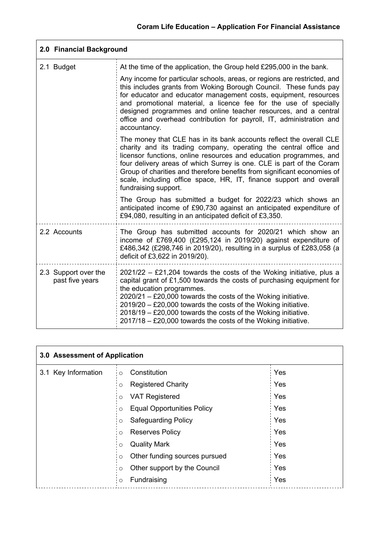| 2.0 Financial Background                |                                                                                                                                                                                                                                                                                                                                                                                                                                                                 |  |  |
|-----------------------------------------|-----------------------------------------------------------------------------------------------------------------------------------------------------------------------------------------------------------------------------------------------------------------------------------------------------------------------------------------------------------------------------------------------------------------------------------------------------------------|--|--|
| 2.1 Budget                              | At the time of the application, the Group held £295,000 in the bank.                                                                                                                                                                                                                                                                                                                                                                                            |  |  |
|                                         | Any income for particular schools, areas, or regions are restricted, and<br>this includes grants from Woking Borough Council. These funds pay<br>for educator and educator management costs, equipment, resources<br>and promotional material, a licence fee for the use of specially<br>designed programmes and online teacher resources, and a central<br>office and overhead contribution for payroll, IT, administration and<br>accountancy.                |  |  |
|                                         | The money that CLE has in its bank accounts reflect the overall CLE<br>charity and its trading company, operating the central office and<br>licensor functions, online resources and education programmes, and<br>four delivery areas of which Surrey is one. CLE is part of the Coram<br>Group of charities and therefore benefits from significant economies of<br>scale, including office space, HR, IT, finance support and overall<br>fundraising support. |  |  |
|                                         | The Group has submitted a budget for 2022/23 which shows an<br>anticipated income of £90,730 against an anticipated expenditure of<br>£94,080, resulting in an anticipated deficit of £3,350.                                                                                                                                                                                                                                                                   |  |  |
| 2.2 Accounts                            | The Group has submitted accounts for 2020/21 which show an<br>income of £769,400 (£295,124 in 2019/20) against expenditure of<br>£486,342 (£298,746 in 2019/20), resulting in a surplus of £283,058 (a<br>deficit of £3,622 in 2019/20).                                                                                                                                                                                                                        |  |  |
| 2.3 Support over the<br>past five years | $2021/22$ – £21,204 towards the costs of the Woking initiative, plus a<br>capital grant of £1,500 towards the costs of purchasing equipment for<br>the education programmes.<br>$2020/21 - £20,000$ towards the costs of the Woking initiative.<br>$2019/20 - £20,000$ towards the costs of the Woking initiative.<br>$2018/19 - £20,000$ towards the costs of the Woking initiative.<br>2017/18 - £20,000 towards the costs of the Woking initiative.          |  |  |

| 3.0 Assessment of Application |         |                                   |  |     |
|-------------------------------|---------|-----------------------------------|--|-----|
| 3.1 Key Information           | $\circ$ | Constitution                      |  | Yes |
|                               | $\circ$ | <b>Registered Charity</b>         |  | Yes |
|                               | $\circ$ | <b>VAT Registered</b>             |  | Yes |
|                               | $\circ$ | <b>Equal Opportunities Policy</b> |  | Yes |
|                               | $\circ$ | <b>Safeguarding Policy</b>        |  | Yes |
|                               | $\circ$ | <b>Reserves Policy</b>            |  | Yes |
|                               | $\circ$ | <b>Quality Mark</b>               |  | Yes |
|                               | O       | Other funding sources pursued     |  | Yes |
|                               | $\circ$ | Other support by the Council      |  | Yes |
|                               | $\circ$ | Fundraising                       |  | Yes |